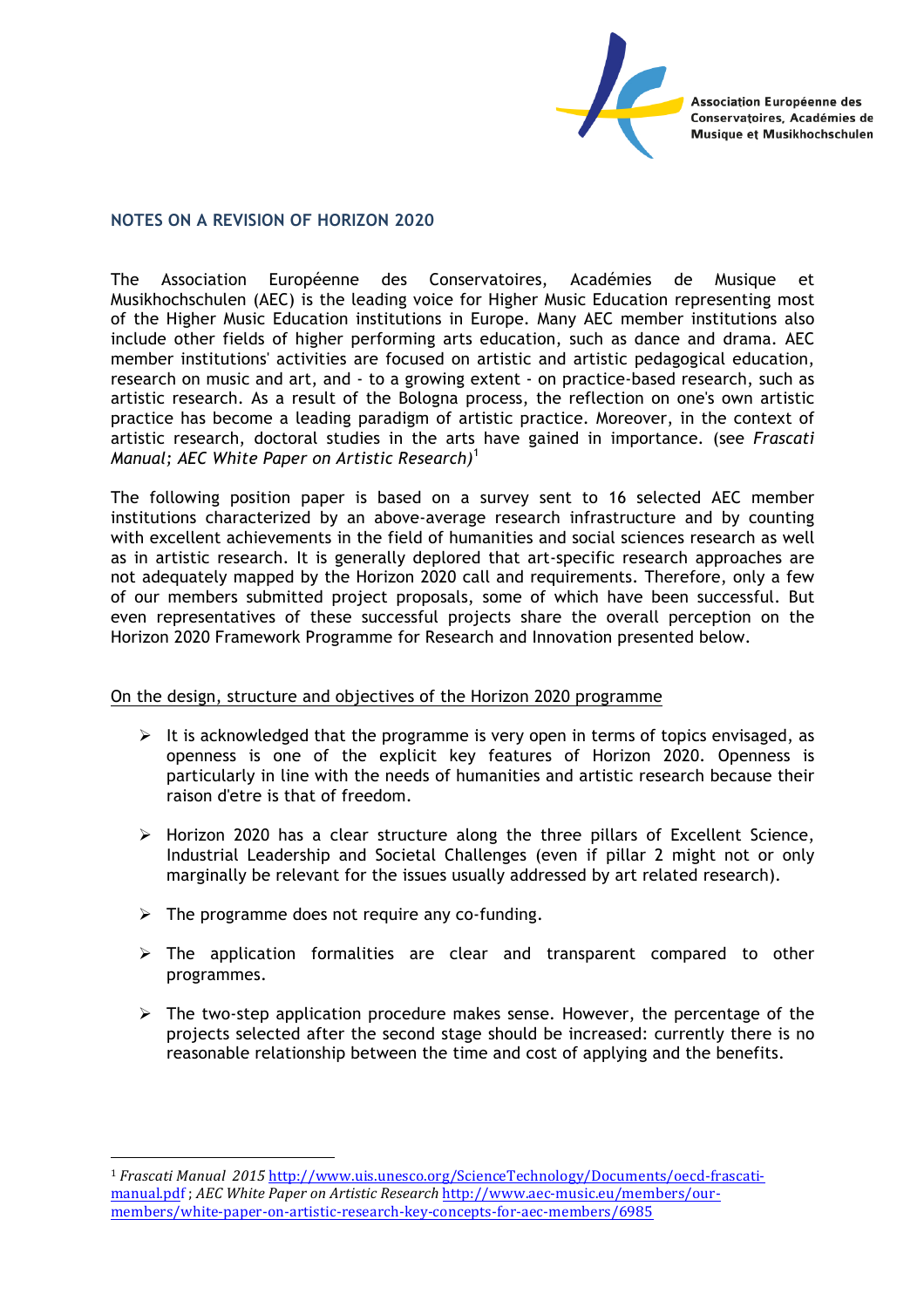Association Européenne des Conservatoires, Académies de **Musique et Musikhochschulen** 

#### **NOTES ON A REVISION OF HORIZON 2020**

The Association Européenne des Conservatoires, Académies de Musique et Musikhochschulen (AEC) is the leading voice for Higher Music Education representing most of the Higher Music Education institutions in Europe. Many AEC member institutions also include other fields of higher performing arts education, such as dance and drama. AEC member institutions' activities are focused on artistic and artistic pedagogical education, research on music and art, and - to a growing extent - on practice-based research, such as artistic research. As a result of the Bologna process, the reflection on one's own artistic practice has become a leading paradigm of artistic practice. Moreover, in the context of artistic research, doctoral studies in the arts have gained in importance. (see *Frascati Manual; AEC White Paper on Artistic Research)* 1

The following position paper is based on a survey sent to 16 selected AEC member institutions characterized by an above-average research infrastructure and by counting with excellent achievements in the field of humanities and social sciences research as well as in artistic research. It is generally deplored that art-specific research approaches are not adequately mapped by the Horizon 2020 call and requirements. Therefore, only a few of our members submitted project proposals, some of which have been successful. But even representatives of these successful projects share the overall perception on the Horizon 2020 Framework Programme for Research and Innovation presented below.

#### On the design, structure and objectives of the Horizon 2020 programme

- $\triangleright$  It is acknowledged that the programme is very open in terms of topics envisaged, as openness is one of the explicit key features of Horizon 2020. Openness is particularly in line with the needs of humanities and artistic research because their raison d'etre is that of freedom.
- $\triangleright$  Horizon 2020 has a clear structure along the three pillars of Excellent Science, Industrial Leadership and Societal Challenges (even if pillar 2 might not or only marginally be relevant for the issues usually addressed by art related research).
- $\triangleright$  The programme does not require any co-funding.

 

- $\triangleright$  The application formalities are clear and transparent compared to other programmes.
- $\triangleright$  The two-step application procedure makes sense. However, the percentage of the projects selected after the second stage should be increased: currently there is no reasonable relationship between the time and cost of applying and the benefits.

<sup>&</sup>lt;sup>1</sup> Frascati Manual 2015 http://www.uis.unesco.org/ScienceTechnology/Documents/oecd-frascatimanual.pdf; *AEC White Paper on Artistic Research* http://www.aec-music.eu/members/ourmembers/white-paper-on-artistic-research-key-concepts-for-aec-members/6985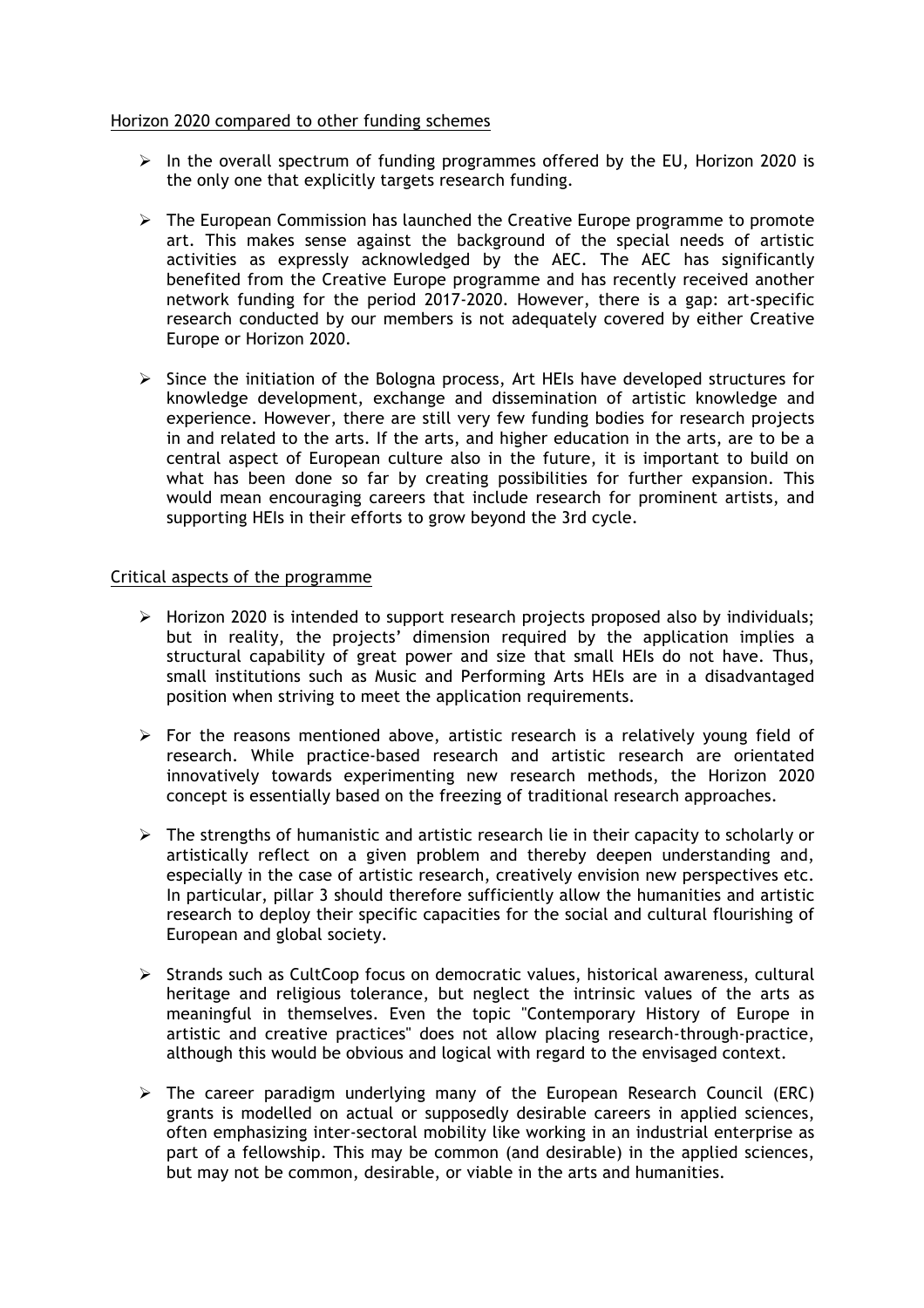## Horizon 2020 compared to other funding schemes

- $\triangleright$  In the overall spectrum of funding programmes offered by the EU, Horizon 2020 is the only one that explicitly targets research funding.
- $\triangleright$  The European Commission has launched the Creative Europe programme to promote art. This makes sense against the background of the special needs of artistic activities as expressly acknowledged by the AEC. The AEC has significantly benefited from the Creative Europe programme and has recently received another network funding for the period 2017-2020. However, there is a gap: art-specific research conducted by our members is not adequately covered by either Creative Europe or Horizon 2020.
- $\triangleright$  Since the initiation of the Bologna process, Art HEIs have developed structures for knowledge development, exchange and dissemination of artistic knowledge and experience. However, there are still very few funding bodies for research projects in and related to the arts. If the arts, and higher education in the arts, are to be a central aspect of European culture also in the future, it is important to build on what has been done so far by creating possibilities for further expansion. This would mean encouraging careers that include research for prominent artists, and supporting HEIs in their efforts to grow beyond the 3rd cycle.

## Critical aspects of the programme

- $\triangleright$  Horizon 2020 is intended to support research projects proposed also by individuals; but in reality, the projects' dimension required by the application implies a structural capability of great power and size that small HEIs do not have. Thus, small institutions such as Music and Performing Arts HEIs are in a disadvantaged position when striving to meet the application requirements.
- $\triangleright$  For the reasons mentioned above, artistic research is a relatively young field of research. While practice-based research and artistic research are orientated innovatively towards experimenting new research methods, the Horizon 2020 concept is essentially based on the freezing of traditional research approaches.
- $\triangleright$  The strengths of humanistic and artistic research lie in their capacity to scholarly or artistically reflect on a given problem and thereby deepen understanding and, especially in the case of artistic research, creatively envision new perspectives etc. In particular, pillar 3 should therefore sufficiently allow the humanities and artistic research to deploy their specific capacities for the social and cultural flourishing of European and global society.
- $\triangleright$  Strands such as CultCoop focus on democratic values, historical awareness, cultural heritage and religious tolerance, but neglect the intrinsic values of the arts as meaningful in themselves. Even the topic "Contemporary History of Europe in artistic and creative practices" does not allow placing research-through-practice, although this would be obvious and logical with regard to the envisaged context.
- $\triangleright$  The career paradigm underlying many of the European Research Council (ERC) grants is modelled on actual or supposedly desirable careers in applied sciences, often emphasizing inter-sectoral mobility like working in an industrial enterprise as part of a fellowship. This may be common (and desirable) in the applied sciences, but may not be common, desirable, or viable in the arts and humanities.